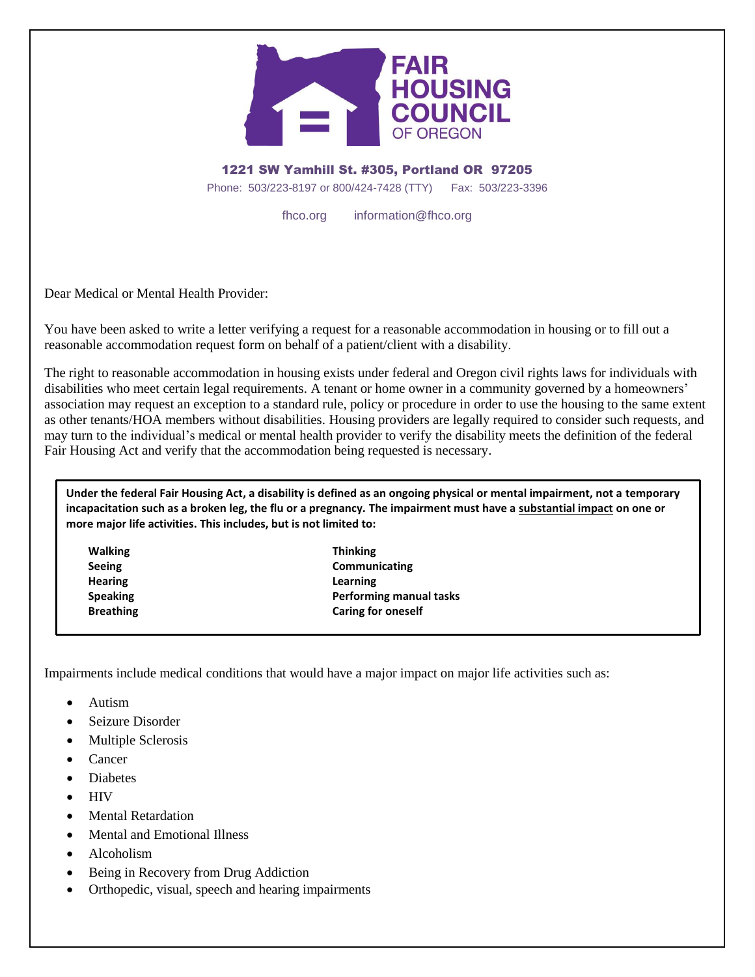

1221 SW Yamhill St. #305, Portland OR 97205 Phone: 503/223-8197 or 800/424-7428 (TTY) Fax: 503/223-3396

fhco.org information@fhco.org

Dear Medical or Mental Health Provider:

You have been asked to write a letter verifying a request for a reasonable accommodation in housing or to fill out a reasonable accommodation request form on behalf of a patient/client with a disability.

The right to reasonable accommodation in housing exists under federal and Oregon civil rights laws for individuals with disabilities who meet certain legal requirements. A tenant or home owner in a community governed by a homeowners' association may request an exception to a standard rule, policy or procedure in order to use the housing to the same extent as other tenants/HOA members without disabilities. Housing providers are legally required to consider such requests, and may turn to the individual's medical or mental health provider to verify the disability meets the definition of the federal Fair Housing Act and verify that the accommodation being requested is necessary.

**Under the federal Fair Housing Act, a disability is defined as an ongoing physical or mental impairment, not a temporary incapacitation such as a broken leg, the flu or a pregnancy. The impairment must have a substantial impact on one or more major life activities. This includes, but is not limited to:** 

**Walking Thinking Hearing Learning**

**Seeing Communicating Speaking Performing manual tasks Breathing Caring for oneself** 

Impairments include medical conditions that would have a major impact on major life activities such as:

- Autism
- Seizure Disorder
- Multiple Sclerosis
- Cancer
- Diabetes
- **HIV**
- Mental Retardation
- Mental and Emotional Illness
- Alcoholism
- Being in Recovery from Drug Addiction
- Orthopedic, visual, speech and hearing impairments